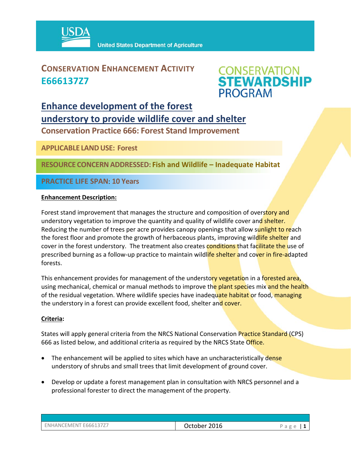

### **CONSERVATION ENHANCEMENT ACTIVITY E666137Z7**



## **Enhance development of the forest understory to provide wildlife cover and shelter**

**Conservation Practice 666: Forest Stand Improvement** 

**APPLICABLE LANDUSE: Forest**

**RESOURCE CONCERNADDRESSED: Fish and Wildlife – Inadequate Habitat**

**PRACTICE LIFE SPAN**: **10 Years** 

#### **Enhancement Description:**

Forest stand improvement that manages the structure and composition of overstory and understory vegetation to improve the quantity and quality of wildlife cover and shelter. Reducing the number of trees per acre provides canopy openings that allow sunlight to reach the forest floor and promote the growth of herbaceous plants, improving wildlife shelter and cover in the forest understory. The treatment also creates conditions that facilitate the use of prescribed burning as a follow-up practice to maintain wildlife shelter and cover in fire-adapted forests.

This enhancement provides for management of the understory vegetation in a forested area, using mechanical, chemical or manual methods to improve the plant species mix and the health of the residual vegetation. Where wildlife species have inadequate habitat or food, managing the understory in a forest can provide excellent food, shelter and cover.

#### **Criteria:**

States will apply general criteria from the NRCS National Conservation Practice Standard (CPS) 666 as listed below, and additional criteria as required by the NRCS State Office.

- The enhancement will be applied to sites which have an uncharacteristically dense understory of shrubs and small trees that limit development of ground cover.
- Develop or update a forest management plan in consultation with NRCS personnel and a professional forester to direct the management of the property.

| ENHANCEMENT E666137Z7 |  |
|-----------------------|--|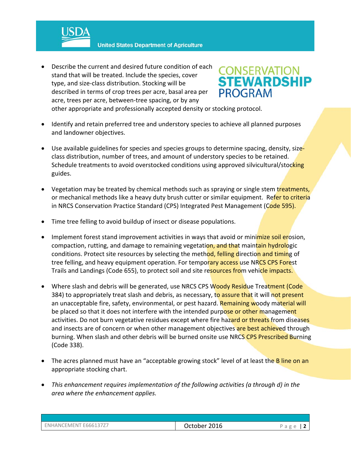**United States Department of Agriculture** 

 Describe the current and desired future condition of each stand that will be treated. Include the species, cover type, and size‐class distribution. Stocking will be described in terms of crop trees per acre, basal area per acre, trees per acre, between‐tree spacing, or by any



other appropriate and professionally accepted density or stocking protocol.

- Identify and retain preferred tree and understory species to achieve all planned purposes and landowner objectives.
- Use available guidelines for species and species groups to determine spacing, density, sizeclass distribution, number of trees, and amount of understory species to be retained. Schedule treatments to avoid overstocked conditions using approved silvicultural/stocking guides.
- Vegetation may be treated by chemical methods such as spraying or single stem treatments, or mechanical methods like a heavy duty brush cutter or similar equipment. Refer to criteria in NRCS Conservation Practice Standard (CPS) Integrated Pest Management (Code 595).
- Time tree felling to avoid buildup of insect or disease populations.
- Implement forest stand improvement activities in ways that avoid or minimize soil erosion, compaction, rutting, and damage to remaining vegetation, and that maintain hydrologic conditions. Protect site resources by selecting the method, felling direction and timing of tree felling, and heavy equipment operation. For temporary access use NRCS CPS Forest Trails and Landings (Code 655), to protect soil and site resources from vehicle impacts.
- Where slash and debris will be generated, use NRCS CPS Woody Residue Treatment (Code 384) to appropriately treat slash and debris, as necessary, to assure that it will not present an unacceptable fire, safety, environmental, or pest hazard. Remaining woody material will be placed so that it does not interfere with the intended purpose or other management activities. Do not burn vegetative residues except where fire hazard or threats from diseases and insects are of concern or when other management objectives are best achieved through burning. When slash and other debris will be burned onsite use NRCS CPS Prescribed Burning (Code 338).
- The acres planned must have an "acceptable growing stock" level of at least the B line on an appropriate stocking chart.
- *This enhancement requires implementation of the following activities (a through d) in the area where the enhancement applies.*

| ENHANCEMENT E666137Z7 | October 2016 | Page |
|-----------------------|--------------|------|